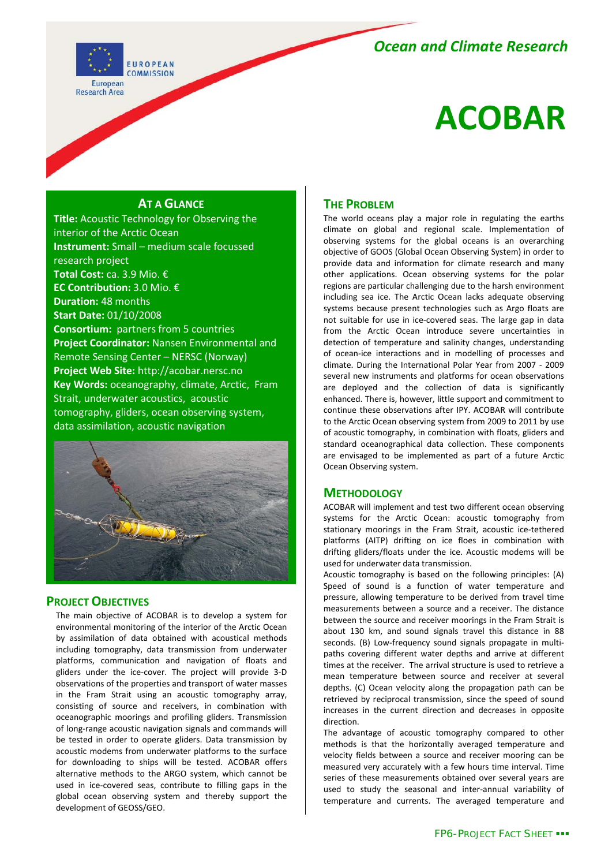# *Ocean and Climate Research*



# **ACOBAR**

### **AT A GLANCE**

**Title:** Acoustic Technology for Observing the interior of the Arctic Ocean **Instrument:** Small – medium scale focussed research project **Total Cost:** ca. 3.9 Mio. € **EC Contribution:** 3.0 Mio. € **Duration:** 48 months **Start Date:** 01/10/2008 **Consortium:** partners from 5 countries **Project Coordinator:** Nansen Environmental and Remote Sensing Center – NERSC (Norway) **Project Web Site:** http://acobar.nersc.no **Key Words:** oceanography, climate, Arctic, Fram Strait, underwater acoustics, acoustic tomography, gliders, ocean observing system, data assimilation, acoustic navigation



#### **PROJECT OBJECTIVES**

The main objective of ACOBAR is to develop a system for environmental monitoring of the interior of the Arctic Ocean by assimilation of data obtained with acoustical methods including tomography, data transmission from underwater platforms, communication and navigation of floats and gliders under the ice-cover. The project will provide 3-D observations of the properties and transport of water masses in the Fram Strait using an acoustic tomography array, consisting of source and receivers, in combination with oceanographic moorings and profiling gliders. Transmission of long-range acoustic navigation signals and commands will be tested in order to operate gliders. Data transmission by acoustic modems from underwater platforms to the surface for downloading to ships will be tested. ACOBAR offers alternative methods to the ARGO system, which cannot be used in ice-covered seas, contribute to filling gaps in the global ocean observing system and thereby support the development of GEOSS/GEO.

## **THE PROBLEM**

The world oceans play a major role in regulating the earths climate on global and regional scale. Implementation of observing systems for the global oceans is an overarching objective of GOOS (Global Ocean Observing System) in order to provide data and information for climate research and many other applications. Ocean observing systems for the polar regions are particular challenging due to the harsh environment including sea ice. The Arctic Ocean lacks adequate observing systems because present technologies such as Argo floats are not suitable for use in ice-covered seas. The large gap in data from the Arctic Ocean introduce severe uncertainties in detection of temperature and salinity changes, understanding of ocean-ice interactions and in modelling of processes and climate. During the International Polar Year from 2007 - 2009 several new instruments and platforms for ocean observations are deployed and the collection of data is significantly enhanced. There is, however, little support and commitment to continue these observations after IPY. ACOBAR will contribute to the Arctic Ocean observing system from 2009 to 2011 by use of acoustic tomography, in combination with floats, gliders and standard oceanographical data collection. These components are envisaged to be implemented as part of a future Arctic Ocean Observing system.

#### **METHODOLOGY**

ACOBAR will implement and test two different ocean observing systems for the Arctic Ocean: acoustic tomography from stationary moorings in the Fram Strait, acoustic ice-tethered platforms (AITP) drifting on ice floes in combination with drifting gliders/floats under the ice. Acoustic modems will be used for underwater data transmission.

Acoustic tomography is based on the following principles: (A) Speed of sound is a function of water temperature and pressure, allowing temperature to be derived from travel time measurements between a source and a receiver. The distance between the source and receiver moorings in the Fram Strait is about 130 km, and sound signals travel this distance in 88 seconds. (B) Low-frequency sound signals propagate in multipaths covering different water depths and arrive at different times at the receiver. The arrival structure is used to retrieve a mean temperature between source and receiver at several depths. (C) Ocean velocity along the propagation path can be retrieved by reciprocal transmission, since the speed of sound increases in the current direction and decreases in opposite direction.

The advantage of acoustic tomography compared to other methods is that the horizontally averaged temperature and velocity fields between a source and receiver mooring can be measured very accurately with a few hours time interval. Time series of these measurements obtained over several years are used to study the seasonal and inter-annual variability of temperature and currents. The averaged temperature and